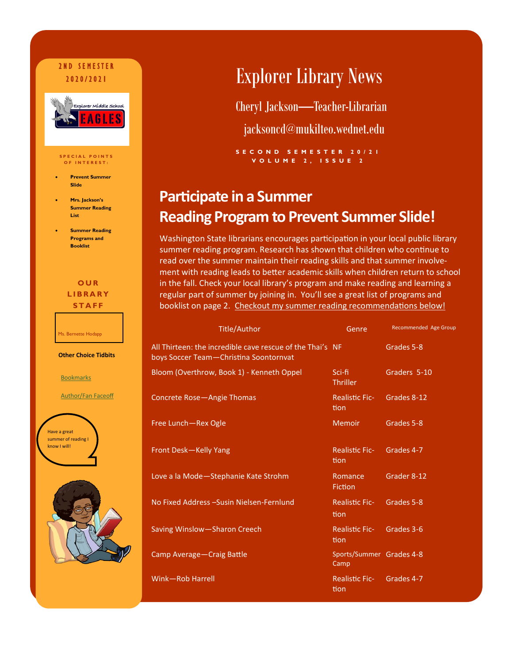## 2 N D S E M E ST E R



#### **S P E C I A L P O I N T S O F I N T E R E S T :**

- **Prevent Summer Slide**
- **Mrs. Jackson's Summer Reading List**
- **Summer Reading Programs and Booklist**

**O U R L I B R A R Y S T A F F**

Ms. Bernette Hodapp

**Other Choice Tidbits**

**[Bookmarks](file://mukilteo.schools/StaffMyDocs/H-L/jacksoncd/My Documents)** 

[Author/Fan Faceoff](file://mukilteo.schools/StaffMyDocs/H-L/JacksonCD/My Documents)





## **2020/2021 Explorer Library News**

Cheryl Jackson—Teacher-Librarian

jacksoncd@mukilteo.wednet.edu

**S E C O N D S E M E S T E R 2 0 / 2 1 V O L U M E 2 , I S S U E 2**

## **Participate in a Summer Reading Program to Prevent Summer Slide!**

Washington State librarians encourages participation in your local public library summer reading program. Research has shown that children who continue to read over the summer maintain their reading skills and that summer involvement with reading leads to better academic skills when children return to school in the fall. Check your local library's program and make reading and learning a regular part of summer by joining in. You'll see a great list of programs and booklist on page 2. Checkout my summer reading recommendations below!

| <b>Title/Author</b>                                                                                 | Genre                            | Recommended Age Group |
|-----------------------------------------------------------------------------------------------------|----------------------------------|-----------------------|
| All Thirteen: the incredible cave rescue of the Thai's NF<br>boys Soccer Team-Christina Soontornvat |                                  | Grades 5-8            |
| Bloom (Overthrow, Book 1) - Kenneth Oppel                                                           | Sci-fi<br><b>Thriller</b>        | Graders 5-10          |
| <b>Concrete Rose-Angie Thomas</b>                                                                   | <b>Realistic Fic-</b><br>tion    | Grades 8-12           |
| Free Lunch-Rex Ogle                                                                                 | <b>Memoir</b>                    | Grades 5-8            |
| Front Desk-Kelly Yang                                                                               | <b>Realistic Fic-</b><br>tion    | Grades 4-7            |
| Love a la Mode-Stephanie Kate Strohm                                                                | Romance<br><b>Fiction</b>        | Grader 8-12           |
| No Fixed Address - Susin Nielsen-Fernlund                                                           | <b>Realistic Fic-</b><br>tion    | Grades 5-8            |
| Saving Winslow-Sharon Creech                                                                        | <b>Realistic Fic-</b><br>tion    | Grades 3-6            |
| Camp Average-Craig Battle                                                                           | Sports/Summer Grades 4-8<br>Camp |                       |
| Wink-Rob Harrell                                                                                    | <b>Realistic Fic-</b><br>tion    | Grades 4-7            |